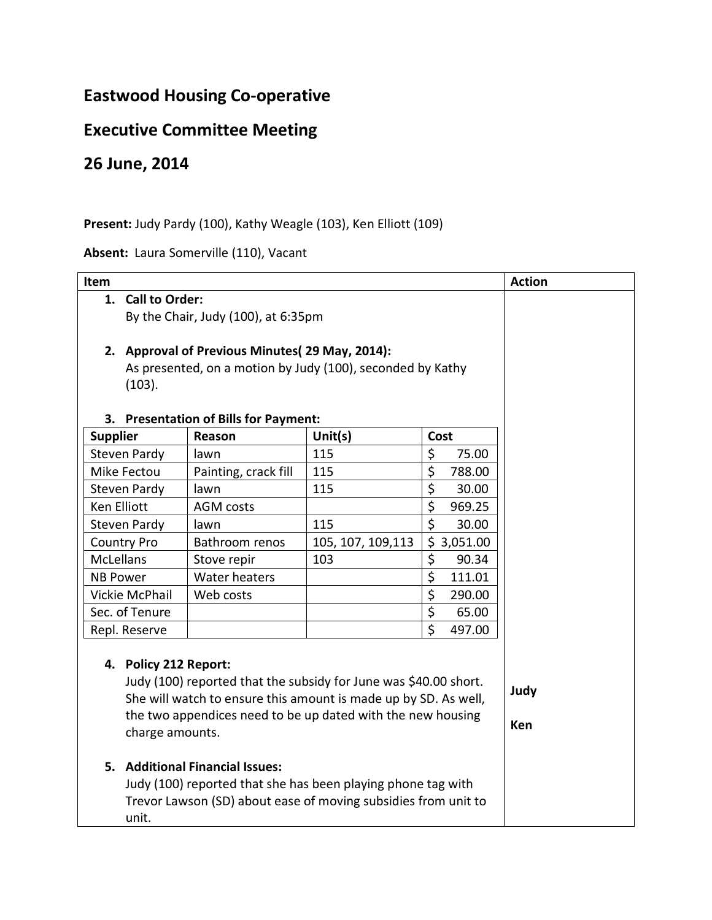## **Eastwood Housing Co-operative**

## **Executive Committee Meeting**

## **26 June, 2014**

## **Present:** Judy Pardy (100), Kathy Weagle (103), Ken Elliott (109)

**Absent:** Laura Somerville (110), Vacant

| Item                                                             |                                                                         |                                           |                    |                    |          | <b>Action</b> |  |
|------------------------------------------------------------------|-------------------------------------------------------------------------|-------------------------------------------|--------------------|--------------------|----------|---------------|--|
|                                                                  | 1. Call to Order:                                                       |                                           |                    |                    |          |               |  |
|                                                                  | By the Chair, Judy (100), at 6:35pm                                     |                                           |                    |                    |          |               |  |
|                                                                  |                                                                         |                                           |                    |                    |          |               |  |
|                                                                  | 2. Approval of Previous Minutes(29 May, 2014):                          |                                           |                    |                    |          |               |  |
|                                                                  | As presented, on a motion by Judy (100), seconded by Kathy              |                                           |                    |                    |          |               |  |
|                                                                  | (103).                                                                  |                                           |                    |                    |          |               |  |
|                                                                  |                                                                         |                                           |                    |                    |          |               |  |
| 3.                                                               |                                                                         | <b>Presentation of Bills for Payment:</b> |                    |                    |          |               |  |
| <b>Supplier</b>                                                  |                                                                         | Reason                                    | Unit $(s)$         | Cost               |          |               |  |
| <b>Steven Pardy</b>                                              |                                                                         | lawn                                      | 115                | \$                 | 75.00    |               |  |
| Mike Fectou                                                      |                                                                         | Painting, crack fill                      | 115                | \$                 | 788.00   |               |  |
| Steven Pardy                                                     |                                                                         | lawn                                      | 115                | \$                 | 30.00    |               |  |
| Ken Elliott                                                      |                                                                         | <b>AGM</b> costs                          |                    | \$                 | 969.25   |               |  |
| <b>Steven Pardy</b>                                              |                                                                         | lawn                                      | 115                | \$                 | 30.00    |               |  |
| <b>Country Pro</b>                                               |                                                                         | Bathroom renos                            | 105, 107, 109, 113 | \$                 | 3,051.00 |               |  |
| <b>McLellans</b>                                                 |                                                                         | Stove repir                               | 103                | \$                 | 90.34    |               |  |
| <b>NB Power</b>                                                  |                                                                         | Water heaters                             |                    | \$                 | 111.01   |               |  |
| Vickie McPhail                                                   |                                                                         | Web costs                                 |                    | \$                 | 290.00   |               |  |
| Sec. of Tenure                                                   |                                                                         |                                           |                    | \$                 | 65.00    |               |  |
| Repl. Reserve                                                    |                                                                         |                                           |                    | $\dot{\mathsf{S}}$ | 497.00   |               |  |
|                                                                  |                                                                         |                                           |                    |                    |          |               |  |
|                                                                  | 4. Policy 212 Report:                                                   |                                           |                    |                    |          |               |  |
| Judy (100) reported that the subsidy for June was \$40.00 short. |                                                                         |                                           |                    |                    |          |               |  |
|                                                                  | Judy<br>She will watch to ensure this amount is made up by SD. As well, |                                           |                    |                    |          |               |  |
|                                                                  | the two appendices need to be up dated with the new housing<br>Ken      |                                           |                    |                    |          |               |  |
|                                                                  | charge amounts.                                                         |                                           |                    |                    |          |               |  |
|                                                                  |                                                                         |                                           |                    |                    |          |               |  |
|                                                                  | 5. Additional Financial Issues:                                         |                                           |                    |                    |          |               |  |
|                                                                  | Judy (100) reported that she has been playing phone tag with            |                                           |                    |                    |          |               |  |
| Trevor Lawson (SD) about ease of moving subsidies from unit to   |                                                                         |                                           |                    |                    |          |               |  |
|                                                                  | unit.                                                                   |                                           |                    |                    |          |               |  |